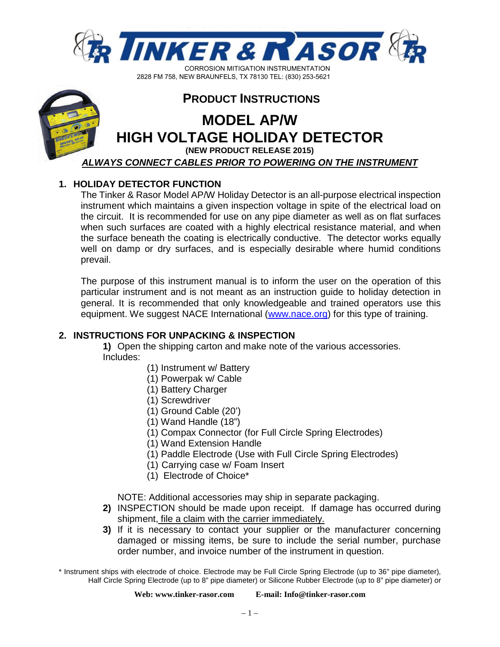



### **PRODUCT INSTRUCTIONS**

# **MODEL AP/W HIGH VOLTAGE HOLIDAY DETECTOR**

**(NEW PRODUCT RELEASE 2015)** 

*ALWAYS CONNECT CABLES PRIOR TO POWERING ON THE INSTRUMENT*

#### **1. HOLIDAY DETECTOR FUNCTION**

The Tinker & Rasor Model AP/W Holiday Detector is an all-purpose electrical inspection instrument which maintains a given inspection voltage in spite of the electrical load on the circuit. It is recommended for use on any pipe diameter as well as on flat surfaces when such surfaces are coated with a highly electrical resistance material, and when the surface beneath the coating is electrically conductive. The detector works equally well on damp or dry surfaces, and is especially desirable where humid conditions prevail.

The purpose of this instrument manual is to inform the user on the operation of this particular instrument and is not meant as an instruction guide to holiday detection in general. It is recommended that only knowledgeable and trained operators use this equipment. We suggest NACE International [\(www.nace.org\)](http://www.nace.org/) for this type of training.

#### **2. INSTRUCTIONS FOR UNPACKING & INSPECTION**

**1)** Open the shipping carton and make note of the various accessories. Includes:

- (1) Instrument w/ Battery
- (1) Powerpak w/ Cable
- (1) Battery Charger
- (1) Screwdriver
- (1) Ground Cable (20')
- (1) Wand Handle (18")
- (1) Compax Connector (for Full Circle Spring Electrodes)
- (1) Wand Extension Handle
- (1) Paddle Electrode (Use with Full Circle Spring Electrodes)
- (1) Carrying case w/ Foam Insert
- (1) Electrode of Choice\*

NOTE: Additional accessories may ship in separate packaging.

- **2)** INSPECTION should be made upon receipt. If damage has occurred during shipment, file a claim with the carrier immediately.
- **3)** If it is necessary to contact your supplier or the manufacturer concerning damaged or missing items, be sure to include the serial number, purchase order number, and invoice number of the instrument in question.

\* Instrument ships with electrode of choice. Electrode may be Full Circle Spring Electrode (up to 36" pipe diameter), Half Circle Spring Electrode (up to 8" pipe diameter) or Silicone Rubber Electrode (up to 8" pipe diameter) or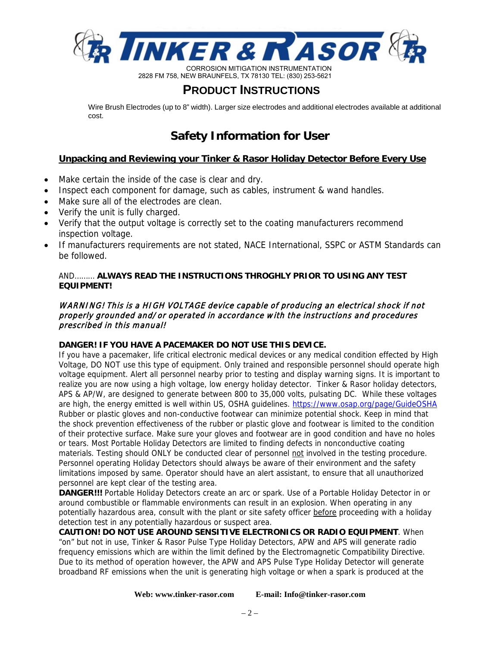

### **PRODUCT INSTRUCTIONS**

Wire Brush Electrodes (up to 8" width). Larger size electrodes and additional electrodes available at additional cost.

### **Safety Information for User**

#### **Unpacking and Reviewing your Tinker & Rasor Holiday Detector Before Every Use**

- Make certain the inside of the case is clear and dry.
- Inspect each component for damage, such as cables, instrument & wand handles.
- Make sure all of the electrodes are clean.
- Verify the unit is fully charged.
- Verify that the output voltage is correctly set to the coating manufacturers recommend inspection voltage.
- If manufacturers requirements are not stated, NACE International, SSPC or ASTM Standards can be followed.

#### AND……… **ALWAYS READ THE INSTRUCTIONS THROGHLY PRIOR TO USING ANY TEST EQUIPMENT!**

#### WARNING! This is a HIGH VOLTAGE device capable of producing an electrical shock if not properly grounded and/or operated in accordance with the instructions and procedures prescribed in this manual!

#### **DANGER! IF YOU HAVE A PACEMAKER DO NOT USE THIS DEVICE.**

If you have a pacemaker, life critical electronic medical devices or any medical condition effected by High Voltage, DO NOT use this type of equipment. Only trained and responsible personnel should operate high voltage equipment. Alert all personnel nearby prior to testing and display warning signs. It is important to realize you are now using a high voltage, low energy holiday detector. Tinker & Rasor holiday detectors, APS & AP/W, are designed to generate between 800 to 35,000 volts, pulsating DC. While these voltages are high, the energy emitted is well within US, OSHA guidelines.<https://www.osap.org/page/GuideOSHA> Rubber or plastic gloves and non-conductive footwear can minimize potential shock. Keep in mind that the shock prevention effectiveness of the rubber or plastic glove and footwear is limited to the condition of their protective surface. Make sure your gloves and footwear are in good condition and have no holes or tears. Most Portable Holiday Detectors are limited to finding defects in nonconductive coating materials. Testing should ONLY be conducted clear of personnel not involved in the testing procedure. Personnel operating Holiday Detectors should always be aware of their environment and the safety limitations imposed by same. Operator should have an alert assistant, to ensure that all unauthorized personnel are kept clear of the testing area.

**DANGER!!!** Portable Holiday Detectors create an arc or spark. Use of a Portable Holiday Detector in or around combustible or flammable environments can result in an explosion. When operating in any potentially hazardous area, consult with the plant or site safety officer before proceeding with a holiday detection test in any potentially hazardous or suspect area.

**CAUTION! DO NOT USE AROUND SENSITIVE ELECTRONICS OR RADIO EQUIPMENT**. When "on" but not in use, Tinker & Rasor Pulse Type Holiday Detectors, APW and APS will generate radio frequency emissions which are within the limit defined by the Electromagnetic Compatibility Directive. Due to its method of operation however, the APW and APS Pulse Type Holiday Detector will generate broadband RF emissions when the unit is generating high voltage or when a spark is produced at the

**Web: www.tinker-rasor.com E-mail: Info@tinker-rasor.com**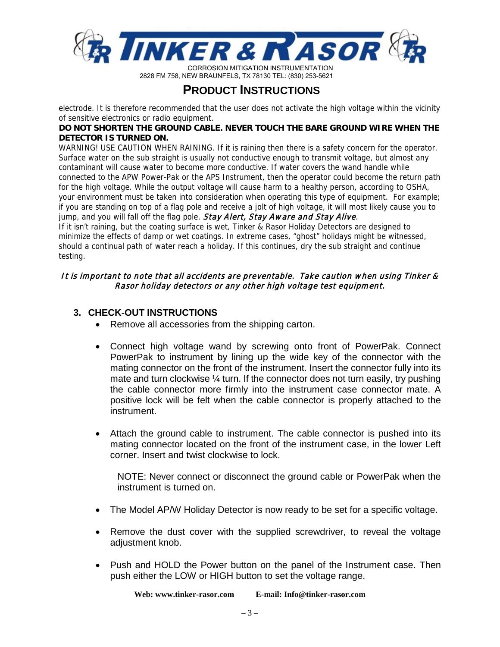

### **PRODUCT INSTRUCTIONS**

electrode. It is therefore recommended that the user does not activate the high voltage within the vicinity of sensitive electronics or radio equipment.

#### **DO NOT SHORTEN THE GROUND CABLE. NEVER TOUCH THE BARE GROUND WIRE WHEN THE DETECTOR IS TURNED ON.**

WARNING! USE CAUTION WHEN RAINING. If it is raining then there is a safety concern for the operator. Surface water on the sub straight is usually not conductive enough to transmit voltage, but almost any contaminant will cause water to become more conductive. If water covers the wand handle while connected to the APW Power-Pak or the APS Instrument, then the operator could become the return path for the high voltage. While the output voltage will cause harm to a healthy person, according to OSHA, your environment must be taken into consideration when operating this type of equipment. For example; if you are standing on top of a flag pole and receive a jolt of high voltage, it will most likely cause you to jump, and you will fall off the flag pole. Stay Alert, Stay Aware and Stay Alive.

If it isn't raining, but the coating surface is wet, Tinker & Rasor Holiday Detectors are designed to minimize the effects of damp or wet coatings. In extreme cases, "ghost" holidays might be witnessed, should a continual path of water reach a holiday. If this continues, dry the sub straight and continue testing.

#### It is important to note that all accidents are preventable. Take caution when using Tinker & Rasor holiday detectors or any other high voltage test equipment.

#### **3. CHECK-OUT INSTRUCTIONS**

- Remove all accessories from the shipping carton.
- Connect high voltage wand by screwing onto front of PowerPak. Connect PowerPak to instrument by lining up the wide key of the connector with the mating connector on the front of the instrument. Insert the connector fully into its mate and turn clockwise ¼ turn. If the connector does not turn easily, try pushing the cable connector more firmly into the instrument case connector mate. A positive lock will be felt when the cable connector is properly attached to the instrument.
- Attach the ground cable to instrument. The cable connector is pushed into its mating connector located on the front of the instrument case, in the lower Left corner. Insert and twist clockwise to lock.

NOTE: Never connect or disconnect the ground cable or PowerPak when the instrument is turned on.

- The Model AP/W Holiday Detector is now ready to be set for a specific voltage.
- Remove the dust cover with the supplied screwdriver, to reveal the voltage adjustment knob.
- Push and HOLD the Power button on the panel of the Instrument case. Then push either the LOW or HIGH button to set the voltage range.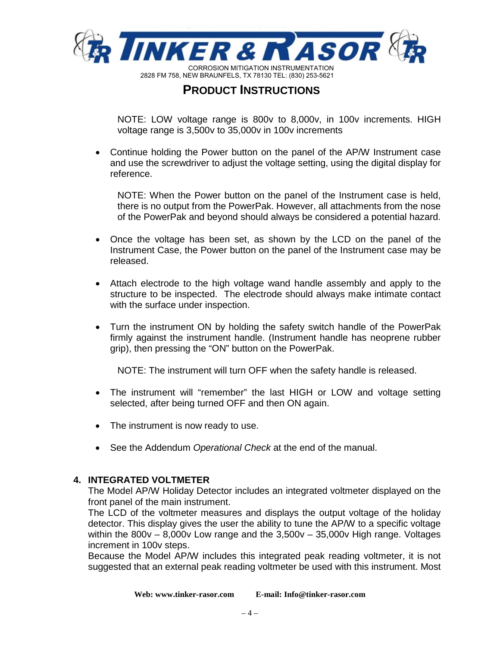

NOTE: LOW voltage range is 800v to 8,000v, in 100v increments. HIGH voltage range is 3,500v to 35,000v in 100v increments

• Continue holding the Power button on the panel of the AP/W Instrument case and use the screwdriver to adjust the voltage setting, using the digital display for reference.

NOTE: When the Power button on the panel of the Instrument case is held, there is no output from the PowerPak. However, all attachments from the nose of the PowerPak and beyond should always be considered a potential hazard.

- Once the voltage has been set, as shown by the LCD on the panel of the Instrument Case, the Power button on the panel of the Instrument case may be released.
- Attach electrode to the high voltage wand handle assembly and apply to the structure to be inspected. The electrode should always make intimate contact with the surface under inspection.
- Turn the instrument ON by holding the safety switch handle of the PowerPak firmly against the instrument handle. (Instrument handle has neoprene rubber grip), then pressing the "ON" button on the PowerPak.

NOTE: The instrument will turn OFF when the safety handle is released.

- The instrument will "remember" the last HIGH or LOW and voltage setting selected, after being turned OFF and then ON again.
- The instrument is now ready to use.
- See the Addendum *Operational Check* at the end of the manual.

#### **4. INTEGRATED VOLTMETER**

The Model AP/W Holiday Detector includes an integrated voltmeter displayed on the front panel of the main instrument.

The LCD of the voltmeter measures and displays the output voltage of the holiday detector. This display gives the user the ability to tune the AP/W to a specific voltage within the 800v – 8,000v Low range and the 3,500v – 35,000v High range. Voltages increment in 100v steps.

Because the Model AP/W includes this integrated peak reading voltmeter, it is not suggested that an external peak reading voltmeter be used with this instrument. Most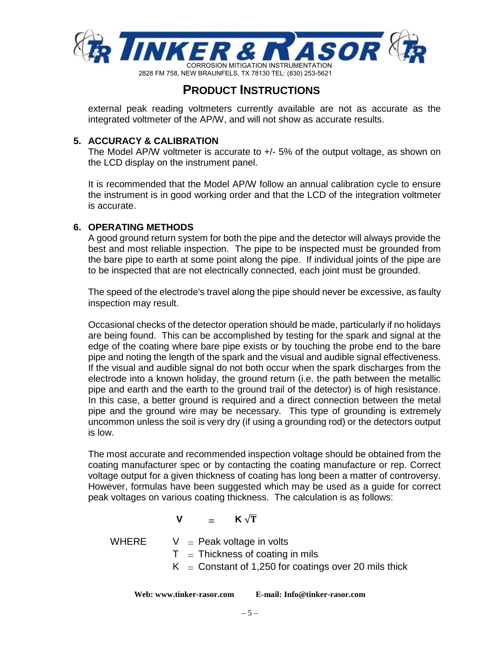

external peak reading voltmeters currently available are not as accurate as the integrated voltmeter of the AP/W, and will not show as accurate results.

#### **5. ACCURACY & CALIBRATION**

The Model AP/W voltmeter is accurate to +/- 5% of the output voltage, as shown on the LCD display on the instrument panel.

It is recommended that the Model AP/W follow an annual calibration cycle to ensure the instrument is in good working order and that the LCD of the integration voltmeter is accurate.

#### **6. OPERATING METHODS**

A good ground return system for both the pipe and the detector will always provide the best and most reliable inspection. The pipe to be inspected must be grounded from the bare pipe to earth at some point along the pipe. If individual joints of the pipe are to be inspected that are not electrically connected, each joint must be grounded.

The speed of the electrode's travel along the pipe should never be excessive, as faulty inspection may result.

Occasional checks of the detector operation should be made, particularly if no holidays are being found. This can be accomplished by testing for the spark and signal at the edge of the coating where bare pipe exists or by touching the probe end to the bare pipe and noting the length of the spark and the visual and audible signal effectiveness. If the visual and audible signal do not both occur when the spark discharges from the electrode into a known holiday, the ground return (i.e. the path between the metallic pipe and earth and the earth to the ground trail of the detector) is of high resistance. In this case, a better ground is required and a direct connection between the metal pipe and the ground wire may be necessary. This type of grounding is extremely uncommon unless the soil is very dry (if using a grounding rod) or the detectors output is low.

The most accurate and recommended inspection voltage should be obtained from the coating manufacturer spec or by contacting the coating manufacture or rep. Correct voltage output for a given thickness of coating has long been a matter of controversy. However, formulas have been suggested which may be used as a guide for correct peak voltages on various coating thickness. The calculation is as follows:

**V** =  $\mathbf{K} \sqrt{\mathbf{T}}$ 

WHERE  $V =$  Peak voltage in volts

 $T = Thichness of coating in mils$ 

 $K =$  Constant of 1,250 for coatings over 20 mils thick

**Web: www.tinker-rasor.com E-mail: Info@tinker-rasor.com**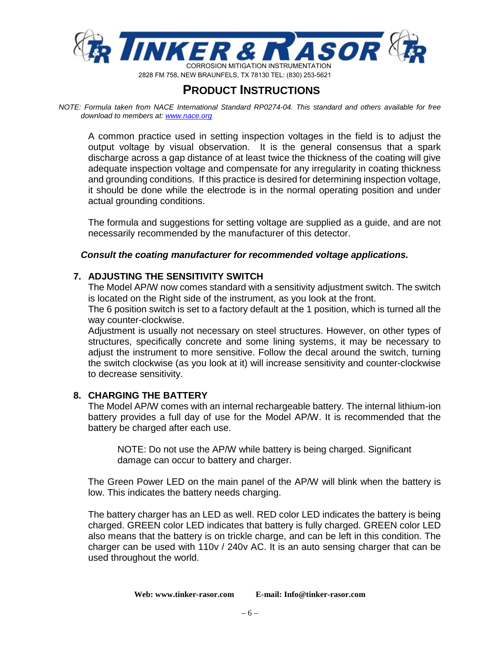

*NOTE: Formula taken from NACE International Standard RP0274-04. This standard and others available for free download to members at[: www.nace.org](http://www.nace.org/)*

A common practice used in setting inspection voltages in the field is to adjust the output voltage by visual observation. It is the general consensus that a spark discharge across a gap distance of at least twice the thickness of the coating will give adequate inspection voltage and compensate for any irregularity in coating thickness and grounding conditions. If this practice is desired for determining inspection voltage, it should be done while the electrode is in the normal operating position and under actual grounding conditions.

The formula and suggestions for setting voltage are supplied as a guide, and are not necessarily recommended by the manufacturer of this detector.

#### *Consult the coating manufacturer for recommended voltage applications.*

#### **7. ADJUSTING THE SENSITIVITY SWITCH**

The Model AP/W now comes standard with a sensitivity adjustment switch. The switch is located on the Right side of the instrument, as you look at the front.

The 6 position switch is set to a factory default at the 1 position, which is turned all the way counter-clockwise.

Adjustment is usually not necessary on steel structures. However, on other types of structures, specifically concrete and some lining systems, it may be necessary to adjust the instrument to more sensitive. Follow the decal around the switch, turning the switch clockwise (as you look at it) will increase sensitivity and counter-clockwise to decrease sensitivity.

#### **8. CHARGING THE BATTERY**

The Model AP/W comes with an internal rechargeable battery. The internal lithium-ion battery provides a full day of use for the Model AP/W. It is recommended that the battery be charged after each use.

NOTE: Do not use the AP/W while battery is being charged. Significant damage can occur to battery and charger.

The Green Power LED on the main panel of the AP/W will blink when the battery is low. This indicates the battery needs charging.

The battery charger has an LED as well. RED color LED indicates the battery is being charged. GREEN color LED indicates that battery is fully charged. GREEN color LED also means that the battery is on trickle charge, and can be left in this condition. The charger can be used with 110v / 240v AC. It is an auto sensing charger that can be used throughout the world.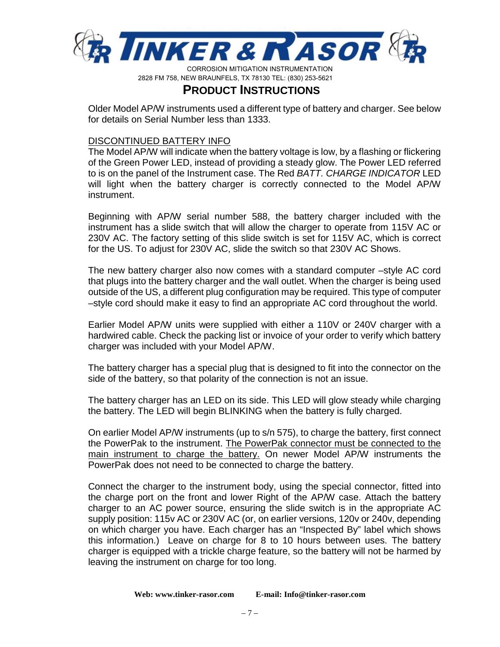

### **PRODUCT INSTRUCTIONS**

Wire Brah Electrodes (p to 8'idth). Larger sie electrodes and additional electrodes anilabe at additional cost.

### Safety Information for ber

#### and Reviewing vour Tinker & Rasor Holiday Detector Before Every be bbacking

- x Make certain the inside of the case is clear and dry.
- x Inspect each component for damage, such as cables, instrument & wand handles.
- x Make sure all of the electrodes are clean.
- x Verify the unit is fully charged.
- x Verify that the output voltage is correctly set to the coating manufacturers recommend inspection voltage.
- x If manufacturers requirements are not stated, NACE International, SSPC or ASTM Standards can be followed.

 $AND$ ....... $AWAS$ READ THE INSTRUTIONS THROGHMPRIOR TO SING ANYIEST **EOPENT!** 

#### WARNING! This is a HIGH VOLTAGE device capable of producing an electrical shock if not properly grounded and/or operated in accordance with the instructions and procedures prescribed in this manual!

#### DANGER!IF ØUHAE A PACENIER DO NOT SE THIS DEICE.

If you have a pacemaker, life critical electronic medical devices or any medical condition effected by High Voltage, DO NOT use this type of equipment. Only trained and responsible personnel should operate high voltage equipment. Alert all personnel nearby prior to testing and display warning signs. It is important to realize you are now using a high voltage, low energy holiday detector. Tinker & Rasor holiday detectors, APS & AP/W, are designed to generate between 800to 35,000 volts, pulsating DC. While these voltages are high, the energy emitted is well within US, OSHA guidelines. https://www.osap.org/page/GuideOSHA Rubber or plastic gloves and non-conductive footwear can minimize potential shock. Keep in mind that the shock prevention effectiveness of the rubber or plastic glove and footwear is limited to the condition of their protective surface. Make sure your gloves and footwear are in good condition and have no holes or tears. Most Portable Holiday Detectors are limited to finding defects in nonconductive coating materials. Testing should ONLYbe conducted clear of personnel not involved in the testing procedure. Personnel operating Holiday Detectors should always be aware of their environment and the safety limitations imposed by same. Operator should have an alert assistant, to ensure that all unauthorized personnel are kept clear of the testing area.

DANGER!! Portable Holiday Detectors create an arc or spark. Use of a Portable Holiday Detector in or around combustible or flammable environments can result in an explosion. When operating in any potentially hazardous area, consult with the plant or site safety officer before proceeding with a holiday detection test in any potentially hazardous or suspect area.

CAUIONIDO NOT SE AROND SENSITIE EECTRONICS OR RADIO ELPENT . When "on" but not in use, Tinker & Rasor Pulse Type Holiday Detectors, APW and APS will generate radio frequency emissions which are within the limit defined by the Electromagnetic Compatibility Directive. Due to its method of operation however, the APW and APS Pulse Type Holiday Detector will generate broadband RF emissions when the unit is generating high voltage or when a spark is produced at the

> Web: www.tinker-rasor.com E-mail: Info@tinker-rasor.com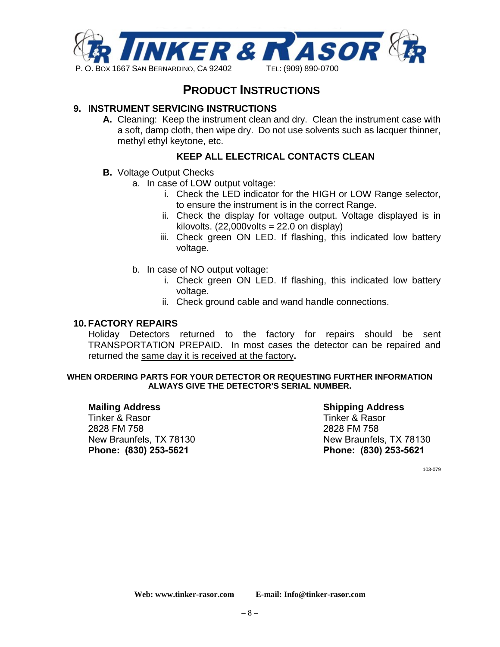

)01(:%5\$81)(/67;7(/

### **PRODUCT INSTRUCTIONS**

#### **9. INSTRUMENT SERVICING INSTRUCTIONS**

**A.** Cleaning: Keep the instrument clean and dry. Clean the instrument case with a soft, damp cloth, then wipe dry. Do not use solvents such as lacquer thinner, methyl ethyl keytone, etc.

#### **KEEP ALL ELECTRICAL CONTACTS CLEAN**

- **B.** Voltage Output Checks
	- a. In case of LOW output voltage:
		- i. Check the LED indicator for the HIGH or LOW Range selector, to ensure the instrument is in the correct Range.
		- ii. Check the display for voltage output. Voltage displayed is in kilovolts.  $(22,000$ volts = 22.0 on display)
		- iii. Check green ON LED. If flashing, this indicated low battery voltage.
	- b. In case of NO output voltage:
		- i. Check green ON LED. If flashing, this indicated low battery voltage.
		- ii. Check ground cable and wand handle connections.

#### **10. FACTORY REPAIRS**

Holiday Detectors returned to the factory for repairs should be sent TRANSPORTATION PREPAID. In most cases the detector can be repaired and returned the same day it is received at the factory**.**

#### **WHEN ORDERING PARTS FOR YOUR DETECTOR OR REQUESTING FURTHER INFORMATION ALWAYS GIVE THE DETECTOR'S SERIAL NUMBER.**

#### **Mailing Address**

Tinker & Rasor 2828 FM 758 New Braunfels, TX 78130 **Phone: (830) 253-5621**

**Shipping Address**  Tinker & Rasor 2828 FM 758 New Braunfels, TX 78130 **Phone: (830) 253-5621** 

103-079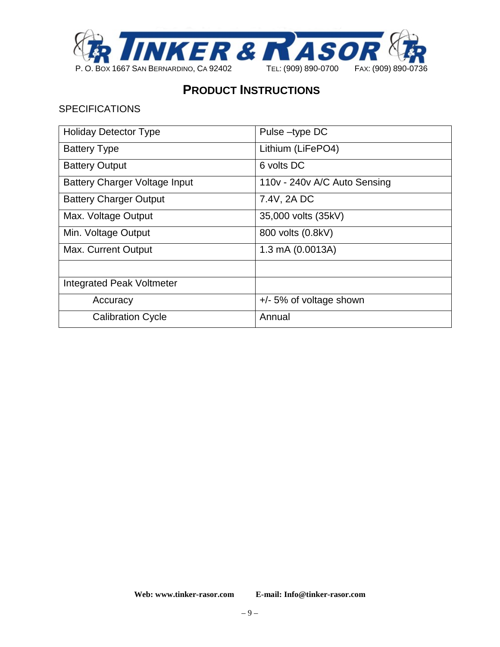

#### **SPECIFICATIONS**

| <b>Holiday Detector Type</b>         | Pulse-type DC                |
|--------------------------------------|------------------------------|
| <b>Battery Type</b>                  | Lithium (LiFePO4)            |
| <b>Battery Output</b>                | 6 volts DC                   |
| <b>Battery Charger Voltage Input</b> | 110v - 240v A/C Auto Sensing |
| <b>Battery Charger Output</b>        | 7.4V, 2A DC                  |
| Max. Voltage Output                  | 35,000 volts (35kV)          |
| Min. Voltage Output                  | 800 volts (0.8kV)            |
| <b>Max. Current Output</b>           | 1.3 mA (0.0013A)             |
|                                      |                              |
| <b>Integrated Peak Voltmeter</b>     |                              |
| Accuracy                             | $+/- 5\%$ of voltage shown   |
| <b>Calibration Cycle</b>             | Annual                       |

**Web: www.tinker-rasor.com E-mail: Info@tinker-rasor.com**